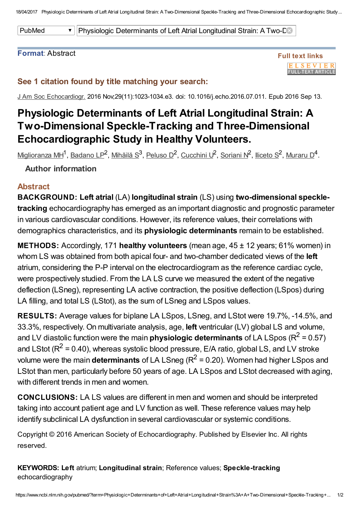18/04/2017 Physiologic Determinants of Left Atrial Longitudinal Strain: A Two-Dimensional Speckle-Tracking and Three-Dimensional Echocardiographic Study...

PubMed **The Physiologic Determinants of Left Atrial Longitudinal Strain: A Two-Dimensional Strain** 

#### Format: Abstract



### See 1 citation found by title matching your search:

J Am Soc Echocardiogr. 2016 Nov;29(11):1023-1034.e3. doi: 10.1016/j.echo.2016.07.011. Epub 2016 Sep 13.

# Physiologic Determinants of Left Atrial Longitudinal Strain: A Two-Dimensional Speckle-Tracking and Three-Dimensional Echocardiographic Study in Healthy Volunteers.

[Miglioranza](https://www.ncbi.nlm.nih.gov/pubmed/?term=Miglioranza%20MH%5BAuthor%5D&cauthor=true&cauthor_uid=27638238) MH<sup>1</sup>, <u>[Badano](https://www.ncbi.nlm.nih.gov/pubmed/?term=Badano%20LP%5BAuthor%5D&cauthor=true&cauthor_uid=27638238) LP</u><sup>2</sup>, [Mihăilă](https://www.ncbi.nlm.nih.gov/pubmed/?term=Mih%C4%83il%C4%83%20S%5BAuthor%5D&cauthor=true&cauthor_uid=27638238) S<sup>3</sup>, [Peluso](https://www.ncbi.nlm.nih.gov/pubmed/?term=Peluso%20D%5BAuthor%5D&cauthor=true&cauthor_uid=27638238) D<sup>2</sup>, [Cucchini](https://www.ncbi.nlm.nih.gov/pubmed/?term=Cucchini%20U%5BAuthor%5D&cauthor=true&cauthor_uid=27638238) U<sup>2</sup>, [Soriani](https://www.ncbi.nlm.nih.gov/pubmed/?term=Soriani%20N%5BAuthor%5D&cauthor=true&cauthor_uid=27638238) N<sup>2</sup>, [Iliceto](https://www.ncbi.nlm.nih.gov/pubmed/?term=Iliceto%20S%5BAuthor%5D&cauthor=true&cauthor_uid=27638238) S<sup>2</sup>, [Muraru](https://www.ncbi.nlm.nih.gov/pubmed/?term=Muraru%20D%5BAuthor%5D&cauthor=true&cauthor_uid=27638238) D<sup>4</sup>.

### Author information

#### Abstract

BACKGROUND: Left atrial (LA) longitudinal strain (LS) using two-dimensional speckletracking echocardiography has emerged as an important diagnostic and prognostic parameter in various cardiovascular conditions. However, its reference values, their correlations with demographics characteristics, and its physiologic determinants remain to be established.

**METHODS:** Accordingly, 171 healthy volunteers (mean age, 45 ± 12 years; 61% women) in whom LS was obtained from both apical four- and two-chamber dedicated views of the **left** atrium, considering the P-P interval on the electrocardiogram as the reference cardiac cycle, were prospectively studied. From the LA LS curve we measured the extent of the negative deflection (LSneg), representing LA active contraction, the positive deflection (LSpos) during LA filling, and total LS (LStot), as the sum of LSneg and LSpos values.

RESULTS: Average values for biplane LA LSpos, LSneg, and LStot were 19.7%, -14.5%, and 33.3%, respectively. On multivariate analysis, age, left ventricular (LV) global LS and volume, and LV diastolic function were the main **physiologic determinants** of LA LSpos (R<sup>2</sup> = 0.57) and LStot ( $R^2$  = 0.40), whereas systolic blood pressure, E/A ratio, global LS, and LV stroke volume were the main determinants of LA LSneg ( $R^2$  = 0.20). Women had higher LSpos and LStot than men, particularly before 50 years of age. LA LSpos and LStot decreased with aging, with different trends in men and women.

CONCLUSIONS: LA LS values are different in men and women and should be interpreted taking into account patient age and LV function as well. These reference values may help identify subclinical LA dysfunction in several cardiovascular or systemic conditions.

Copyright © 2016 American Society of Echocardiography. Published by Elsevier Inc. All rights reserved.

KEYWORDS: Left atrium; Longitudinal strain; Reference values; Speckle-tracking echocardiography